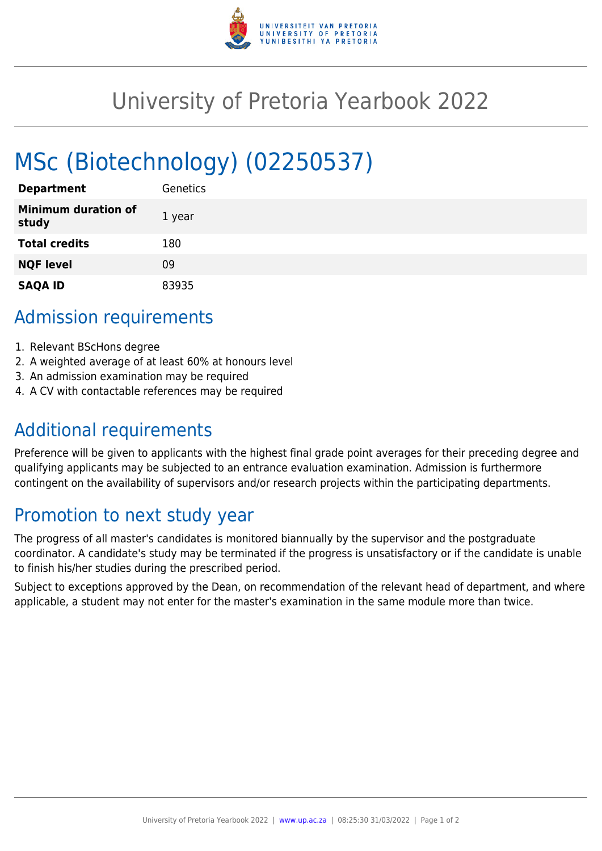

## University of Pretoria Yearbook 2022

# MSc (Biotechnology) (02250537)

| <b>Department</b>                   | Genetics |
|-------------------------------------|----------|
| <b>Minimum duration of</b><br>study | 1 year   |
| <b>Total credits</b>                | 180      |
| <b>NQF level</b>                    | 09       |
| <b>SAQA ID</b>                      | 83935    |

#### Admission requirements

- 1. Relevant BScHons degree
- 2. A weighted average of at least 60% at honours level
- 3. An admission examination may be required
- 4. A CV with contactable references may be required

## Additional requirements

Preference will be given to applicants with the highest final grade point averages for their preceding degree and qualifying applicants may be subjected to an entrance evaluation examination. Admission is furthermore contingent on the availability of supervisors and/or research projects within the participating departments.

## Promotion to next study year

The progress of all master's candidates is monitored biannually by the supervisor and the postgraduate coordinator. A candidate's study may be terminated if the progress is unsatisfactory or if the candidate is unable to finish his/her studies during the prescribed period.

Subject to exceptions approved by the Dean, on recommendation of the relevant head of department, and where applicable, a student may not enter for the master's examination in the same module more than twice.